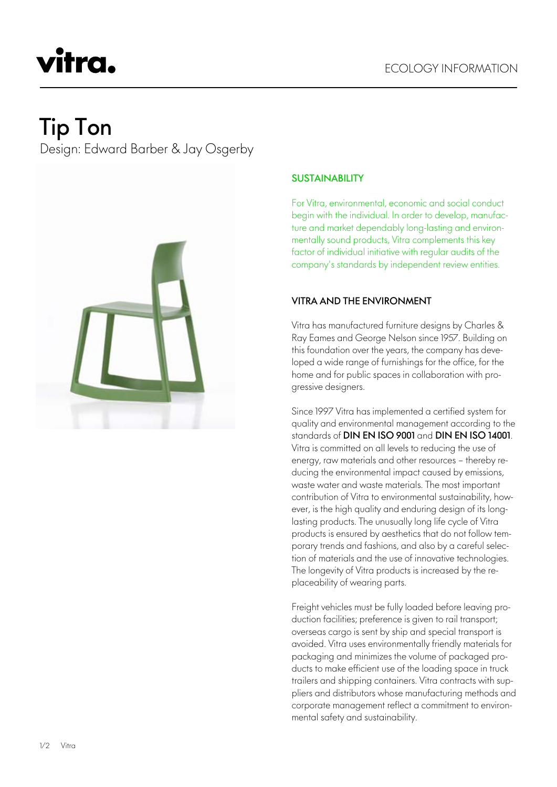# vitra.

# Tip Ton

Design: Edward Barber & Jay Osgerby



# **SUSTAINABILITY**

For Vitra, environmental, economic and social conduct begin with the individual. In order to develop, manufacture and market dependably long-lasting and environmentally sound products, Vitra complements this key factor of individual initiative with regular audits of the company's standards by independent review entities.

## VITRA AND THE ENVIRONMENT

Vitra has manufactured furniture designs by Charles & Ray Eames and George Nelson since 1957. Building on this foundation over the years, the company has developed a wide range of furnishings for the office, for the home and for public spaces in collaboration with progressive designers.

Since 1997 Vitra has implemented a certified system for quality and environmental management according to the standards of DIN EN ISO 9001 and DIN EN ISO 14001. Vitra is committed on all levels to reducing the use of energy, raw materials and other resources – thereby reducing the environmental impact caused by emissions, waste water and waste materials. The most important contribution of Vitra to environmental sustainability, however, is the high quality and enduring design of its longlasting products. The unusually long life cycle of Vitra products is ensured by aesthetics that do not follow temporary trends and fashions, and also by a careful selection of materials and the use of innovative technologies. The longevity of Vitra products is increased by the replaceability of wearing parts.

Freight vehicles must be fully loaded before leaving production facilities; preference is given to rail transport; overseas cargo is sent by ship and special transport is avoided. Vitra uses environmentally friendly materials for packaging and minimizes the volume of packaged products to make efficient use of the loading space in truck trailers and shipping containers. Vitra contracts with suppliers and distributors whose manufacturing methods and corporate management reflect a commitment to environmental safety and sustainability.